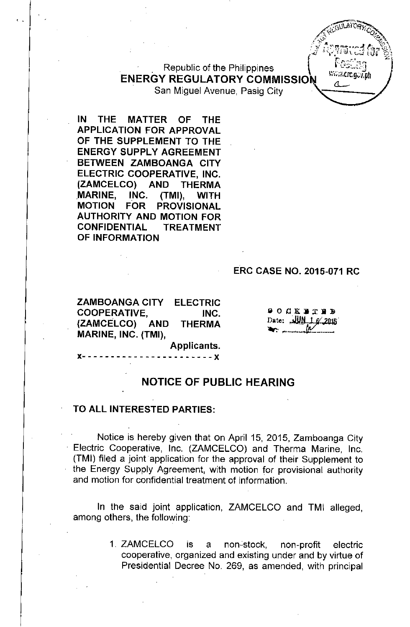Republic of the Philippines  $\begin{pmatrix} r \cos \theta \\ \cos \theta \end{pmatrix}$ **ENERGY REGULATORY COMMISSION** San Miguel Avenue, Pasig City

**IN** THE MATTER OF THE APPLICATION FOR APPROVAL OF THE SUPPLEMENT TO THE ENERGY SUPPLY AGREEMENT BETWEEN ZAMBOANGA CITY ELECTRIC COOPERATIVE, INC. (ZAMCELCO) AND THERMA MARINE, INC. (TMI), WITH MOTION FOR PROVISIONAL AUTHORITY AND MOTION FOR CONFIDENTIAL TREATMENT OF INFORMATION

, .

#### ERC CASE NO. 2015-071 RC

**15.4** 

 $\mathbb{R}$ '"

EGULAI ORTZEN

<,;}. '-",.;  $\mathbb{C}^{\mathbb{Z}}$  ,  $\mathbb{C}$  ,  $\mathbb{Z}$ *.-Y* r:~7':ij.I'';'i.~'''''.~r,~"l%-\ ~' .."'" ,.'<:tl-:...."",Jl,~1r1 O' *<sup>f</sup> ',""* ""~Zl'

سە

 $Q_{\epsilon}$ 

ELECTRIC INC. **THERMA** ZAMBOANGA CITY COOPERATIVE, (ZAMCELCO) AND MARINE, INC. (TMI),

 $900K$   $R$   $T$   $R$   $R$ Date:  $QMLLE$  2015

Applicants.

 $- - - x$ 

#### **NOTICE OF PUBLIC HEARING**

#### TO ALL INTERESTED PARTIES:

Notice is hereby given that on April 15, 2015, Zamboanga City Electric Cooperative, Inc. (ZAMCELCO) and Therma Marine, Inc. (TMI) filed a joint application for the approval of their Supplement to the Energy Supply Agreement, with motion for provisional authority and motion for confidential treatment of information.

In the said joint application, ZAMCELCO and TMI alleged, among others, the following:

> 1. ZAMCELCO is a non-stock, non-profit electric cooperative, organized and existing under and by virtue of Presidential Decree No. 269, as amended, with principal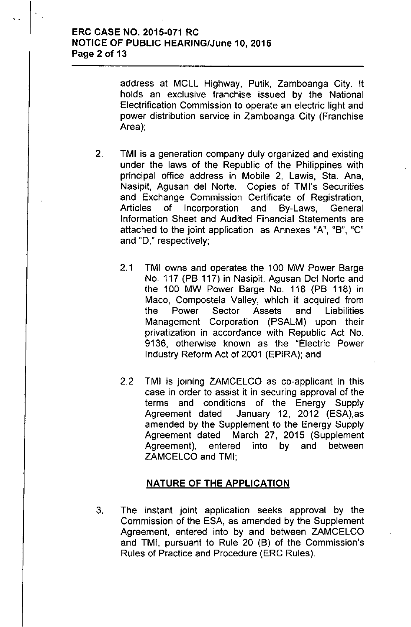## ERC CASE NO. 2015-071 RC NOTICE OF PUBLIC HEARING/June 10, 2015 Page 2 of 13

..

address at MCLL Highway, Putik, Zamboanga City. It holds an exclusive franchise issued by the National Electrification Commission to operate an electric light and power distribution service in Zamboanga City (Franchise Area);

- 2. TMI is a generation company duly organized and existing under the laws of the Republic of the Philippines with principal office address in Mobile 2, Lawis, Sta. Ana, Nasipit, Agusan del Norte. Copies of TMl's Securities and Exchange Commission Certificate of Registration, Articles of Incorporation and By-Laws, General Information Sheet and Audited Financial Statements are attached to the joint application as Annexes "A", "B", "C" and "0," respectively;
	- 2.1 TMI owns and operates the 100 MW Power Barge No. 117 (PB 117) in Nasipit, Agusan Del Norte and the 100 MW Power Barge No. 118 (PB 118) in Maco, Compostela Valley, which it acquired from the Power Sector Assets and Liabilities Management Corporation (PSALM) upon their privatization in accordance with Republic Act No. 9136, otherwise known as the "Electric Power Industry Reform Act of 2001 (EPIRA); and
	- 2.2 TMI is joining ZAMCELCO as co-applicant in this case in order to assist it in securing approval of the terms and conditions of the Energy Supply Agreement dated January 12, 2012 (ESA),as amended by the Supplement to the Energy Supply Agreement dated March 27, 2015 (Supplement Agreement), entered into by and between ZAMCELCO and TMI;

#### NATURE OF THE APPLICATION

3. The instant joint application seeks approval by the Commission of the ESA, as amended by the Supplement Agreement, entered into by and between ZAMCELCO and TMI, pursuant to Rule 20 (B) of the Commission's Rules of Practice and Procedure (ERC Rules).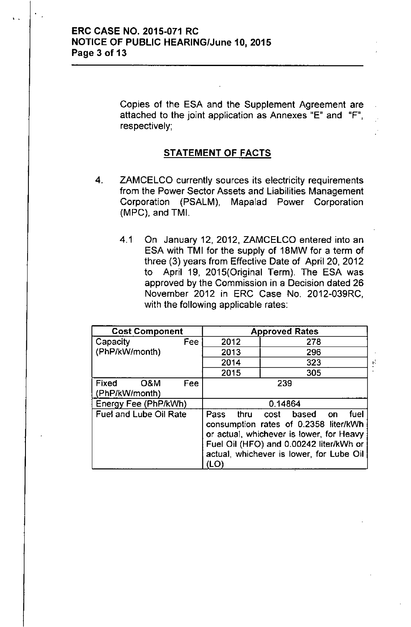..

Copies of the ESA and the Supplement Agreement are attached to the joint application as Annexes "E" and "F", respectively;

#### STATEMENT OF FACTS

- 4. ZAMCELCO currently sources its electricity requirements from the Power Sector Assets and Liabilities Management Corporation (PSALM), Mapalad Power Corporation (MPC), and TMI.
	- 4.1 On January 12, 2012, ZAMCELCO entered into an ESA with TMI for the supply of 18MW for a term of three (3) years from Effective Date of April 20, 2012 to April 19, 2015(Original Term). The ESA was approved by the Commission in a Decision dated 26 November 2012 in ERC Case No. 2012-039RC, with the following applicable rates:

,.

| <b>Cost Component</b>          |     | <b>Approved Rates</b>                                                                                                                                                                                                |     |  |  |
|--------------------------------|-----|----------------------------------------------------------------------------------------------------------------------------------------------------------------------------------------------------------------------|-----|--|--|
| Capacity                       | Fee | 2012                                                                                                                                                                                                                 | 278 |  |  |
| (PhP/kW/month)                 |     |                                                                                                                                                                                                                      | 296 |  |  |
|                                |     | 2014                                                                                                                                                                                                                 | 323 |  |  |
|                                |     | 2015                                                                                                                                                                                                                 | 305 |  |  |
| Fixed<br>O&M<br>(PhP/kW/month) | Fee | 239                                                                                                                                                                                                                  |     |  |  |
| Energy Fee (PhP/kWh)           |     | 0.14864                                                                                                                                                                                                              |     |  |  |
| Fuel and Lube Oil Rate         |     | cost based<br>fuel<br>Pass<br>thru<br>on<br>consumption rates of 0.2358 liter/kWh<br>or actual, whichever is lower, for Heavy<br>Fuel Oil (HFO) and 0.00242 liter/kWh or<br>actual, whichever is lower, for Lube Oil |     |  |  |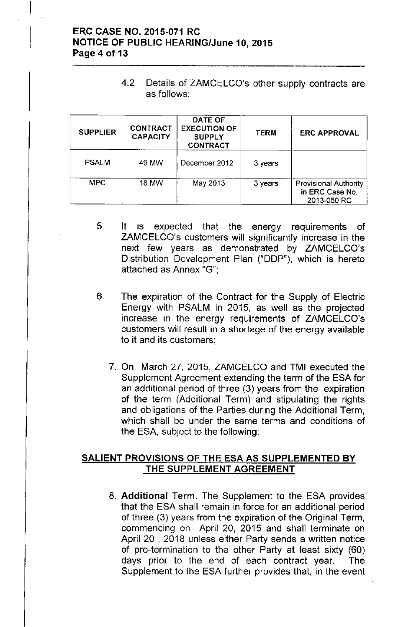# ERC CASE NO. 2015-071 RC NOTICE OF PUBLIC HEARING/June 10, 2015 Page 4 of 13

4.2 Details of ZAMCELCO's other supply contracts are as follows:

| <b>SUPPLIER</b> | <b>CONTRACT</b><br><b>CAPACITY</b> | <b>DATE OF</b><br><b>EXECUTION OF</b><br><b>SUPPLY</b><br><b>CONTRACT</b> | <b>TERM</b> | <b>ERC APPROVAL</b>                                            |
|-----------------|------------------------------------|---------------------------------------------------------------------------|-------------|----------------------------------------------------------------|
| <b>PSALM</b>    | 49 MW                              | December 2012                                                             | 3 years     |                                                                |
| <b>MPC</b>      | 18 MW                              | May 2013                                                                  | 3 years     | <b>Provisional Authority</b><br>in ERC Case No.<br>2013-050 RC |

- 5. It is expected that the energy requirements of ZAMCELCO's customers will significantly increase in the next few years as demonstrated by ZAMCELCO's Distribution Development Plan ("DDP"), which is hereto attached as Annex "G'",
- 6. The expiration of the Contract for the Supply of Electric Energy with PSALM in 2015, as well as the projected increase in the energy requirements of ZAMCELCO's customers will result in a shortage of the energy available to it and its customers;
	- 7. On March 27, 2015, ZAMCELCO and TMI executed the Supplement Agreement extending the term of the ESA for an additional period of three (3) years from the expiration of the term (Additional Term) and stipulating the rights and obligations of the Parties during the Additional Term, which shall be under the same terms and conditions of the ESA, subject to the following:

## SALIENT PROVISIONS OF THE ESA AS SUPPLEMENTED BY THE SUPPLEMENT AGREEMENT

8. Additional Term. The Supplement to the ESA provides that the ESA shall remain in force for an additional period of three (3) years from the expiration of the Original Term, commencing on April 20, 2015 and shall terminate on April 20 , 2018 unless either Party sends a written notice of pre-termination to the other Party at least sixty (60) days prior to the end of each contract year. The Supplement to the ESA further provides that, in the event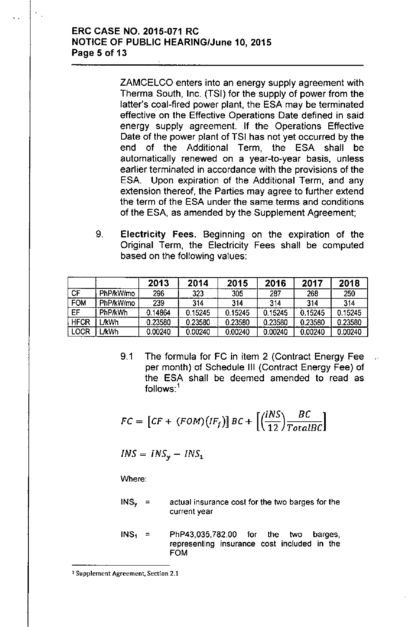## ERC CASE NO. 2015-071 RC NOTICE OF PUBLIC HEARING/June 10, 2015 Page 5 of 13

ZAMCELCO enters into an energy supply agreement with Therma South, Inc. (TSI) for the supply of power from the latter's coal-fired power plant, the ESA may be terminated effective on the Effective Operations Date defined in said energy supply agreement. If the Operations Effective Date of the power plant of TSI has not yet occurred by the end of the Additional Term, the ESA shall be automatically renewed on a year-to-year basis, unless earlier terminated in accordance with the provisions of the ESA. Upon expiration of the Additional Term, and any extension thereof, the Parties may agree to further extend the term of the ESA under the same terms and conditions of the ESA, as amended by the Supplement Agreement;

9. Electricity Fees. Beginning on the expiration of the Original Term, the Electricity Fees shall be computed based on the following values:

|             |                | 2013    | 2014    | 2015    | 2016    | 2017    | 2018    |
|-------------|----------------|---------|---------|---------|---------|---------|---------|
| <b>CF</b>   | PhP/kW/mo      | 296     | 323     | 305     | 287     | 268     | 250     |
| <b>FOM</b>  | PhP/kW/mo      | 239     | 314     | 314     | 314     | 314     | 314     |
| EF          | <b>PhP/kWh</b> | 0.14864 | 0.15245 | 0.15245 | 0.15245 | 0.15245 | 0.15245 |
| <b>HFCR</b> | <b>JkWh</b>    | 0.23580 | 0.23580 | 0.23580 | 0.23580 | 0.23580 | 0.23580 |
| <b>LOCR</b> | <b>JkWh</b>    | 0.00240 | 0.00240 | 0.00240 | 0.00240 | 0.00240 | 0.00240 |

9.1 The formula for FC in item 2 (Contract Energy Fee per month) of Schedule III (Contract Energy Fee) of the ESA shall be deemed amended to read as follows:<sup>1</sup>

$$
FC = [CF + (FOM)(IF_f)] BC + \left[ \left( \frac{INS}{12} \right) \frac{BC}{TotalBC} \right]
$$

$$
INS = INS_{y} - INS_{1}
$$

Where:

- $INS<sub>y</sub> =$ actual insurance cost for the two barges for the current year
- $INS<sub>1</sub>$  = PhP43,035,782.00 for the two barges, representing insurance cost included in the FOM

<sup>1</sup>Supplement Agreement. Section 2.1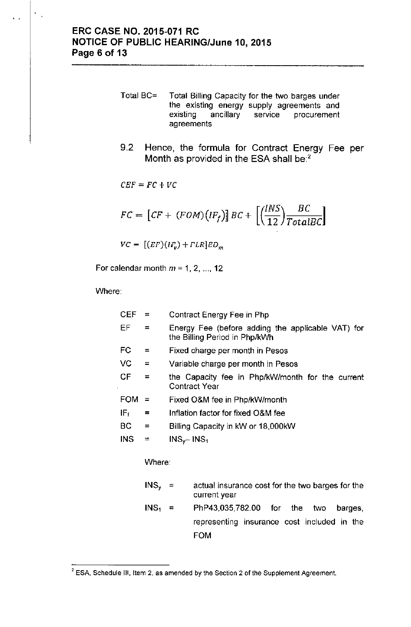- Total BC= Total Billing Capacity for the two barges under the existing energy supply agreements and **existing ancillary service procurement agreements**
- 9.2 Hence, the formula for Contract Energy Fee per Month as provided in the ESA shall be:<sup>2</sup>

$$
CEF = FC + VC
$$
  
\n
$$
FC = [CF + (FOM)(IF_f)] BC + [(\frac{INS}{12}) \frac{BC}{TotalBC}]
$$
  
\n
$$
VC = [(EF)(IF_v) + FLR]ED_m
$$

For calendar month  $m = 1, 2, ..., 12$ 

Where:

 $\frac{1}{2}$  .

| <b>CEF</b>      | Ξ                 | Contract Energy Fee in Php                                                         |  |  |  |  |
|-----------------|-------------------|------------------------------------------------------------------------------------|--|--|--|--|
| EF              | $=$               | Energy Fee (before adding the applicable VAT) for<br>the Billing Period in Php/kWh |  |  |  |  |
| FC              | $=$               | Fixed charge per month in Pesos                                                    |  |  |  |  |
| VC              | $\qquad \qquad =$ | Variable charge per month in Pesos                                                 |  |  |  |  |
| СF              | $=$               | the Capacity fee in Php/kW/month for the current<br><b>Contract Year</b>           |  |  |  |  |
| <b>FOM</b>      | $=$               | Fixed O&M fee in Php/kW/month                                                      |  |  |  |  |
| IF <sub>f</sub> | =                 | Inflation factor for fixed O&M fee                                                 |  |  |  |  |
| ВC              | $\qquad \qquad =$ | Billing Capacity in kW or 18,000kW                                                 |  |  |  |  |
| <b>INS</b>      | $\equiv$          | $INS_{\gamma}$ - INS <sub>1</sub>                                                  |  |  |  |  |
|                 | Where:            |                                                                                    |  |  |  |  |
|                 | $INS_{v}$         | actual insurance cost for the two barges for the<br>$=$<br>current year            |  |  |  |  |
|                 | INS <sub>1</sub>  | PhP43,035,782.00 for<br>the two<br>barges,<br>Ξ                                    |  |  |  |  |
|                 |                   | representing insurance cost included in the                                        |  |  |  |  |

FOM

<sup>2</sup> **ESA, Schedule III, Item 2, as amended by the Section 2 of the Supplement Agreement.**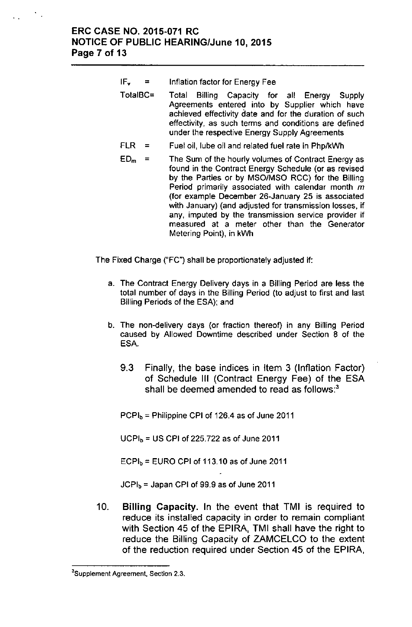## ERC CASE NO. 2015-071 RC NOTICE OF PUBLIC HEARING/June 10, 2015 Page 7 of 13

- **IF<sup>v</sup> ::::** Inflation factor for Energy Fee
- TotalBC= Total Billing Capacity for all Energy Supply Agreements entered into by Supplier which have achieved effectivity date and for the duration of such effectivity, as such terms and conditions are defined under the respective Energy Supply Agreements
- FLR = Fuel oil, lube oil and related fuel rate in PhplkWh
- **ED<sup>m</sup> =** The Sum of the hourly volumes of Contract Energy as found in the Contract Energy Schedule (or as revised by the Parties or by MSO/MSO RCC) for the Billing Period primarily associated with calendar month m (for example December 26-January 25 is associated with January) (and adjusted for transmission losses, if any, imputed by the transmission service provider if measured at a meter other than the Generator Metering Point), in kWh

The Fixed Charge ("FC") shall be proportionately adjusted if:

- a. The Contract Energy Delivery days in a Billing Period are less the total number of days in the Billing Period (to adjust to first and last Billing Periods of the ESA); and
- b. The non-delivery days (or fraction thereof) in any Billing Period caused by Allowed Downtime described under Section 8 of the ESA.
	- 9.3 Finally, the base indices in Item 3 (Inflation Factor) of Schedule III (Contract Energy Fee) of the ESA shall be deemed amended to read as follows: $3$

PCPI $_b$  = Philippine CPI of 126.4 as of June 2011

 $UCPI<sub>b</sub> = US CPI of 225.722 as of June 2011$ 

 $ECPI<sub>b</sub> = EURO$  CPI of 113.10 as of June 2011

 $JCPI_b =$  Japan CPI of 99.9 as of June 2011

10. Billing Capacity. In the event that TMI is required to reduce its installed capacity in order to remain compliant with Section 45 of the EPIRA, TMI shall have the right to reduce the Billing Capacity of ZAMCELCO to the extent of the reduction required under Section 45 of the EPIRA,

**<sup>3</sup>Supplement Agreement, Section** 2.3.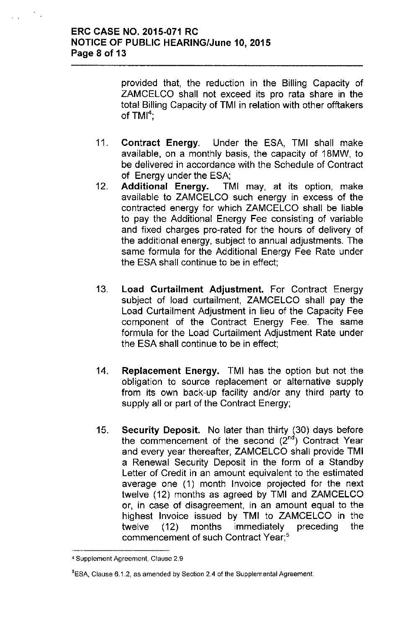÷.

provided that, the reduction in the Billing Capacity of ZAMCELCO shall not exceed its pro rata share in the total Billing Capacity of TMI in relation with other offtakers of  $TMI<sup>4</sup>$ ;

- 11. Contract Energy. Under the ESA, TMI shall make available, on a monthly basis, the capacity of 18MW, to be delivered in accordance with the Schedule of Contract of Energy under the ESA;
- 12. Additional Energy. TMI may, at its option, make available to ZAMCELCO such energy in excess of the contracted energy for which ZAMCELCO shall be liable to pay the Additional Energy Fee consisting of variable and fixed charges pro-rated for the hours of delivery of the additional energy, subject to annual adjustments. The same formula for the Additional Energy Fee Rate under the ESA shall continue to be in effect;
- 13. Load Curtailment Adjustment. For Contract Energy subject of load curtailment, ZAMCELCO shall pay the Load Curtailment Adjustment in lieu of the Capacity Fee component of the Contract Energy Fee. The same formula for the Load Curtailment Adjustment Rate under the ESA shall continue to be in effect;
- 14. Replacement Energy. TMI has the option but not the obligation to source replacement or alternative supply from its own back-up facility and/or any third party to supply all or part of the Contract Energy;
- 15. Security Deposit. No later than thirty (30) days before the commencement of the second  $(2^{nd})$  Contract Year and every year thereafter, ZAMCELCO shall provide TMI a Renewal Security Deposit in the form of a Standby Letter of Credit in an amount equivalent to the estimated average one (1) month Invoice projected for the next twelve (12) months as agreed by TMI and ZAMCELCO or, in case of disagreement, in an amount equal to the highest Invoice issued by TMI to ZAMCELCO in the twelve (12) months immediately preceding the commencement of such Contract Year;'

<sup>4</sup> Supplement Agreement, Clause 2.9

<sup>&</sup>lt;sup>5</sup>ESA, Clause 6.1.2, as amended by Section 2.4 of the Supplemental Agreement.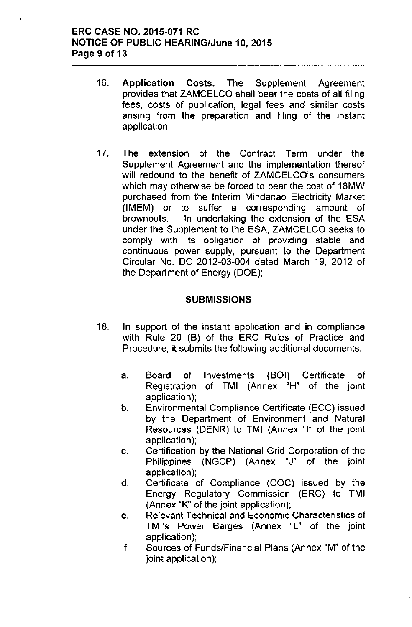# ERC CASE NO. 2015-071 RC NOTICE OF PUBLIC HEARING/June 10, 2015 Page 9 of 13

..

 $\mathcal{L}_{\mathcal{A}}$ 

- 16. Application Costs. The Supplement Agreement provides that ZAMCELCO shall bear the costs of all filing fees, costs of publication, legal fees and similar costs arising from the preparation and filing of the instant application;
- 17. The extension of the Contract Term under the Supplement Agreement and the implementation thereof will redound to the benefit of ZAMCELCO's consumers which may otherwise be forced to bear the cost of 18MW purchased from the Interim Mindanao Electricity Market (IMEM) or to suffer a corresponding amount of brownouts. In undertaking the extension of the ESA under the Supplement to the ESA, ZAMCELCO seeks to comply with its obligation of providing stable and continuous power supply, pursuant to the Department Circular No. DC 2012-03-004 dated March 19, 2012 of the Department of Energy (DOE);

## **SUBMISSIONS**

- 18. In support of the instant application and in compliance with Rule 20 (B) of the ERC Rules of Practice and Procedure, it submits the following additional documents:
	- a. Board of Investments (BOI) Certificate of Registration of TMI (Annex "H" of the joint application);
	- b. Environmental Compliance Certificate (ECC) issued by the Department of Environment and Natural Resources (DENR) to TMI (Annex "I" of the joint application);
	- c. Certification by the National Grid Corporation of the Philippines (NGCP) (Annex "J" of the joint application);
	- d. Certificate of Compliance (COC) issued by the Energy Regulatory Commission (ERC) to TMI (Annex "K" of the joint application);
	- e. Relevant Technical and Economic Characteristics of TMl's Power Barges (Annex "L" of the joint application);
	- f. Sources of Funds/Financial Plans (Annex "M" of the joint application);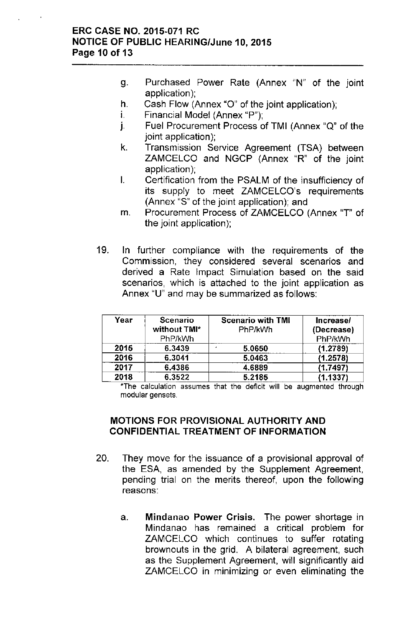## ERC CASE NO. 2015-071 RC NOTICE OF PUBLIC HEARING/June 10, 2015 Page 10 of 13

- g. Purchased Power Rate (Annex "N" of the joint application);
- h. Cash Flow (Annex "0" of the joint application);
- $i.$  Financial Model (Annex "P");
- J. Fuel Procurement Process of TMI (Annex "Q" of the joint application);
- k. Transmission Service Agreement (TSA) between ZAMCELCO and NGCP (Annex "R" of the joint application);
- I. Certification from the PSALM of the insufficiency of its supply to meet ZAMCELCO's requirements (Annex "S" of the joint application); and
- m. Procurement Process of ZAMCELCO (Annex "T" of the joint application);
- 19. In further compliance with the requirements of the Commission, they considered several scenarios and derived a Rate Impact Simulation based on the said scenarios, which is attached to the joint application as Annex "U" and may be summarized as follows:

| Year | <b>Scenario</b><br>without TMI*<br>PhP/kWh | <b>Scenario with TMI</b><br>PhP/kWh | Increase/<br>(Decrease)<br>PhP/kWh |
|------|--------------------------------------------|-------------------------------------|------------------------------------|
| 2015 | 6.3439                                     | 5.0650                              | (1.2789)                           |
| 2016 | 6.3041                                     | 5.0463                              | (1.2578)                           |
| 2017 | 6.4386                                     | 4.6889                              | (1.7497)                           |
| 2018 | 6.3522                                     | 5.2185                              | (1.1337)                           |

\*The calculation assumes that the deficit will be augmented through modular gensets.

# MOTIONS FOR PROVISIONAL AUTHORITY AND CONFIDENTIAL TREATMENT OF INFORMATION

- 20. They move for the issuance of a provisional approval of the ESA, as amended by the Supplement Agreement, pending trial on the merits thereof, upon the following reasons:
	- a. Mindanao Power Crisis. The power shortage in Mindanao has remained a critical problem for ZAMCELCO which continues to suffer rotating brownouts in the grid. A bilateral agreement, such as the Supplement Agreement, will significantly aid ZAMCELCO in minimizing or even eliminating the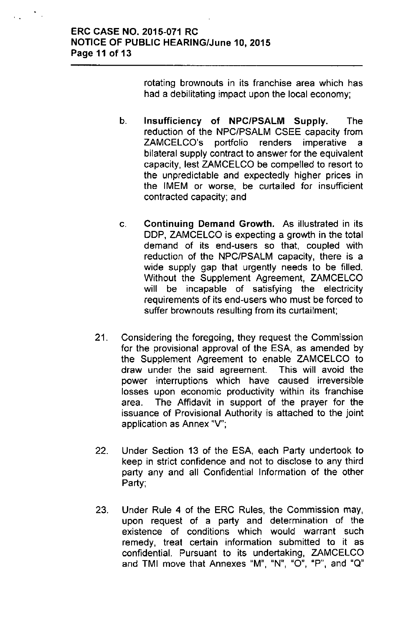## ERC CASE NO. 2015-071 RC NOTICE OF PUBLIC HEARING/June 10, 2015 Page 11 of 13

rotating brownouts in its franchise area which has had a debilitating impact upon the local economy;

- b. Insufficiency of NPC/PSALM Supply. The reduction of the NPC/PSALM CSEE capacity from ZAMCELCO's portfolio renders imperative a bilateral supply contract to answer for the equivalent capacity, lest ZAMCELCO be compelled to resort to the unpredictable and expectedly higher prices in the IMEM or worse, be curtailed for insufficient contracted capacity; and
- c. Continuing Demand Growth. As illustrated in its DDP, ZAMCELCO is expecting a growth in the total demand of its end-users so that, coupled with reduction of the NPC/PSALM capacity, there is a wide supply gap that urgently needs to be filled. Without the Supplement Agreement, ZAMCELCO will be incapable of satisfying the electricity requirements of its end-users who must be forced to suffer brownouts resulting from its curtailment;
- 21. Considering the foregoing, they request the Commission for the provisional approval of the ESA, as amended by the Supplement Agreement to enable ZAMCELCO to draw under the said agreement. This will avoid the power interruptions which have caused irreversible losses upon economic productivity within its franchise area. The Affidavit in support of the prayer for the issuance of Provisional Authority is attached to the joint application as Annex "V";
- 22. Under Section 13 of the ESA, each Party undertook to keep in strict confidence and not to disclose to any third party any and all Confidential Information of the other Party;
- 23. Under Rule 4 of the ERC Rules, the Commission may, upon request of a party and determination of the existence of conditions which would warrant such remedy, treat certain information submitted to it as confidential. Pursuant to its undertaking, ZAMCELCO **and TMI move that Annexes** "M", "N", "0", "P", **and** "Q"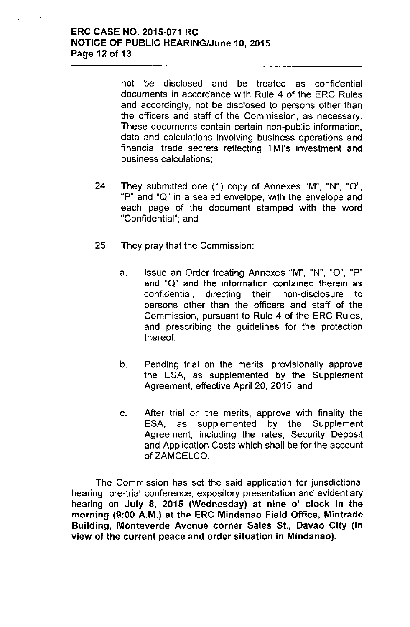not be disclosed and be treated as confidential documents in accordance with Rule 4 of the ERC Rules and accordingly, not be disclosed to persons other than the officers and staff of the Commission, as necessary. These documents contain certain non-public information, data and calculations involving business operations and financial trade secrets reflecting TMl's investment and business calculations;

- 24. They submitted one (1) copy of Annexes "M", "N", "0", "P" and "Q" in a sealed envelope, with the envelope and each page of the document stamped with the word "Confidential"; and
- 25. They pray that the Commission:
	- a. Issue an Order treating Annexes "M", "N", "0", "P" and "Q" and the information contained therein as confidential, directing their non-disclosure to persons other than the officers and staff of the Commission, pursuant to Rule 4 of the ERC Rules, and prescribing the guidelines for the protection thereof;
	- b. Pending trial on the merits, provisionally approve the ESA, as supplemented by the Supplement Agreement, effective April 20, 2015; and
	- c. After trial on the merits, approve with finality the ESA, as supplemented by the Supplement Agreement, including the rates, Security Deposit and Application Costs which shall be for the account of ZAMCELCO.

The Commission has set the said application for jurisdictional hearing, pre-trial conference, expository presentation and evidentiary hearing on July 8, 2015 (Wednesday) at nine o' clock in the morning (9:00 A.M.) at the ERC Mindanao Field Office, Mintrade Building, Monteverde Avenue corner Sales 5t., Davao City (in view of the current peace and order situation in Mindanao).